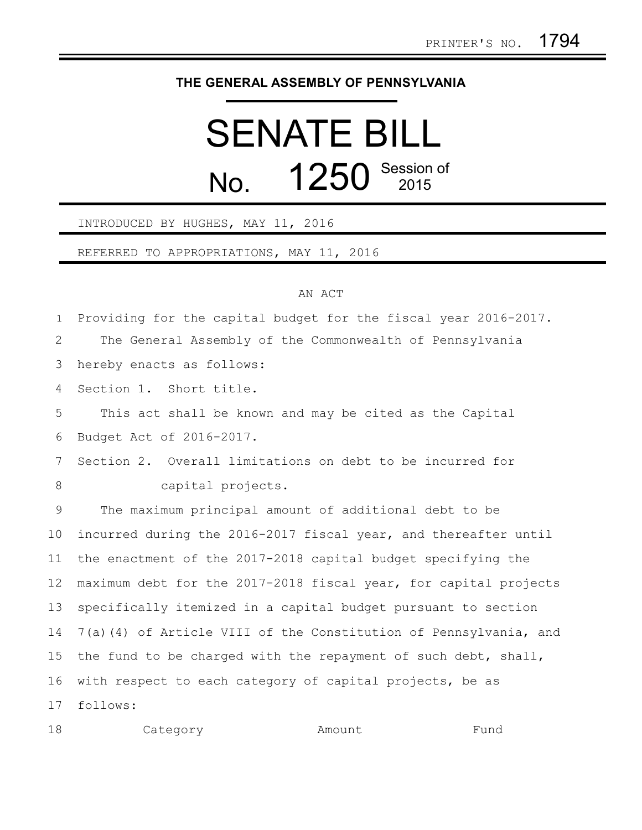## **THE GENERAL ASSEMBLY OF PENNSYLVANIA**

## SENATE BILL No. **1250** Session of

## INTRODUCED BY HUGHES, MAY 11, 2016

REFERRED TO APPROPRIATIONS, MAY 11, 2016

## AN ACT

Providing for the capital budget for the fiscal year 2016-2017. 1

The General Assembly of the Commonwealth of Pennsylvania 2

hereby enacts as follows: 3

Section 1. Short title. 4

This act shall be known and may be cited as the Capital Budget Act of 2016-2017. 5 6

Section 2. Overall limitations on debt to be incurred for capital projects. 7 8

The maximum principal amount of additional debt to be incurred during the 2016-2017 fiscal year, and thereafter until the enactment of the 2017-2018 capital budget specifying the maximum debt for the 2017-2018 fiscal year, for capital projects specifically itemized in a capital budget pursuant to section 7(a)(4) of Article VIII of the Constitution of Pennsylvania, and the fund to be charged with the repayment of such debt, shall, with respect to each category of capital projects, be as follows: 9 10 11 12 13 14 15 16 17

| 18 | Category | Amount | Fund |
|----|----------|--------|------|
|----|----------|--------|------|